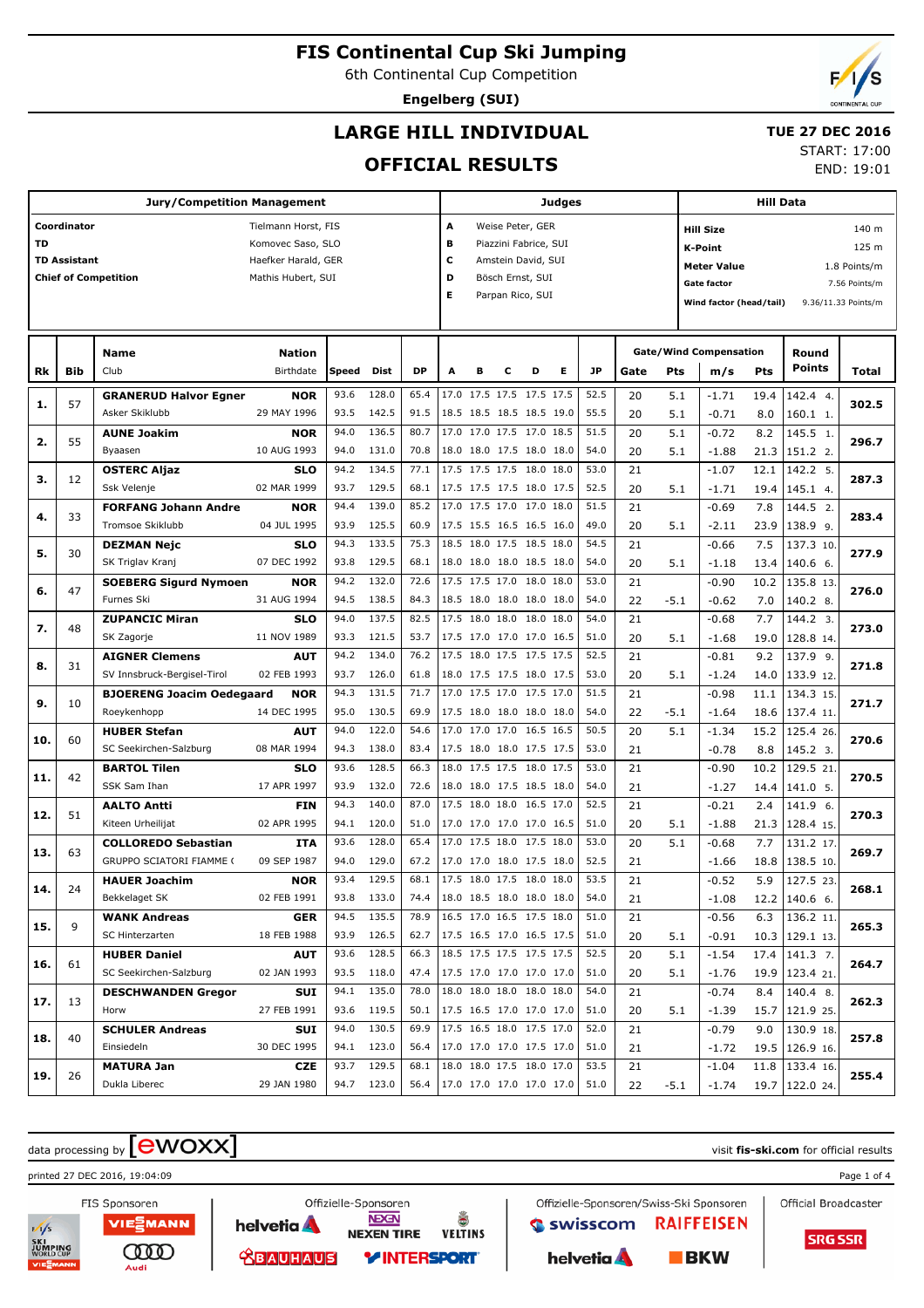6th Continental Cup Competition

**Engelberg (SUI)**

# **LARGE HILL INDIVIDUAL**

## **TUE 27 DEC 2016**

## **OFFICIAL RESULTS**

START: 17:00

END: 19:01

| <b>Jury/Competition Management</b> |                     |                                                 |                           |              |                |              |                               | Judges |                                                      |   |   |              |          |            | <b>Hill Data</b>                     |              |                        |                     |  |
|------------------------------------|---------------------|-------------------------------------------------|---------------------------|--------------|----------------|--------------|-------------------------------|--------|------------------------------------------------------|---|---|--------------|----------|------------|--------------------------------------|--------------|------------------------|---------------------|--|
|                                    | Coordinator         |                                                 | Tielmann Horst, FIS       |              |                |              | А                             |        | Weise Peter, GER                                     |   |   |              |          |            | <b>Hill Size</b>                     |              |                        | 140 m               |  |
| <b>TD</b>                          |                     |                                                 | Komovec Saso, SLO         |              |                |              | в                             |        | Piazzini Fabrice, SUI                                |   |   |              |          |            | <b>K-Point</b>                       |              |                        | 125 m               |  |
|                                    | <b>TD Assistant</b> |                                                 | Haefker Harald, GER       |              |                |              | c                             |        | Amstein David, SUI                                   |   |   |              |          |            | <b>Meter Value</b>                   |              |                        | 1.8 Points/m        |  |
|                                    |                     | <b>Chief of Competition</b>                     | Mathis Hubert, SUI        |              |                |              | D                             |        | Bösch Ernst, SUI                                     |   |   |              |          |            | <b>Gate factor</b>                   |              |                        | 7.56 Points/m       |  |
|                                    |                     |                                                 |                           |              |                |              | Е                             |        | Parpan Rico, SUI                                     |   |   |              |          |            | Wind factor (head/tail)              |              |                        | 9.36/11.33 Points/m |  |
|                                    |                     |                                                 |                           |              |                |              |                               |        |                                                      |   |   |              |          |            |                                      |              |                        |                     |  |
|                                    |                     |                                                 |                           |              |                |              |                               |        |                                                      |   |   |              |          |            |                                      |              |                        |                     |  |
| Rk                                 | <b>Bib</b>          | <b>Name</b><br>Club                             | Nation<br>Birthdate       | Speed        | Dist           | <b>DP</b>    | Α                             | в      | c                                                    | D | Е | <b>JP</b>    | Gate     | <b>Pts</b> | <b>Gate/Wind Compensation</b><br>m/s | Pts          | Round<br>Points        | Total               |  |
|                                    |                     |                                                 |                           | 93.6         | 128.0          | 65.4         |                               |        | 17.0 17.5 17.5 17.5 17.5                             |   |   | 52.5         | 20       |            |                                      |              | 142.4 4.               |                     |  |
| 1.                                 | 57                  | <b>GRANERUD Halvor Egner</b><br>Asker Skiklubb  | <b>NOR</b><br>29 MAY 1996 | 93.5         | 142.5          | 91.5         |                               |        | 18.5 18.5 18.5 18.5 19.0                             |   |   | 55.5         | 20       | 5.1<br>5.1 | $-1.71$<br>$-0.71$                   | 19.4<br>8.0  | 160.1 1.               | 302.5               |  |
|                                    |                     | <b>AUNE Joakim</b>                              | <b>NOR</b>                | 94.0         | 136.5          | 80.7         |                               |        | 17.0 17.0 17.5 17.0 18.5                             |   |   | 51.5         | 20       | 5.1        | $-0.72$                              | 8.2          | 145.5 1.               |                     |  |
| 2.                                 | 55                  | Byaasen                                         | 10 AUG 1993               | 94.0         | 131.0          | 70.8         |                               |        | 18.0 18.0 17.5 18.0 18.0                             |   |   | 54.0         | 20       | 5.1        | $-1.88$                              | 21.3         | 151.2 2.               | 296.7               |  |
|                                    |                     | <b>OSTERC Aljaz</b>                             | <b>SLO</b>                | 94.2         | 134.5          | 77.1         |                               |        | 17.5 17.5 17.5 18.0 18.0                             |   |   | 53.0         | 21       |            | $-1.07$                              | 12.1         | 142.2 5.               |                     |  |
| з.                                 | 12                  | Ssk Velenje                                     | 02 MAR 1999               | 93.7         | 129.5          | 68.1         |                               |        | 17.5 17.5 17.5 18.0 17.5                             |   |   | 52.5         | 20       | 5.1        | $-1.71$                              | 19.4         | 145.1 4.               | 287.3               |  |
| 4.                                 | 33                  | <b>FORFANG Johann Andre</b>                     | <b>NOR</b>                | 94.4         | 139.0          | 85.2         |                               |        | 17.0 17.5 17.0 17.0 18.0                             |   |   | 51.5         | 21       |            | $-0.69$                              | 7.8          | 144.5 2.               | 283.4               |  |
|                                    |                     | Tromsoe Skiklubb                                | 04 JUL 1995               | 93.9         | 125.5          | 60.9         |                               |        | 17.5 15.5 16.5 16.5 16.0                             |   |   | 49.0         | 20       | 5.1        | $-2.11$                              | 23.9         | 138.9 9.               |                     |  |
| 5.                                 | 30                  | <b>DEZMAN Nejc</b>                              | <b>SLO</b>                | 94.3         | 133.5          | 75.3         |                               |        | 18.5 18.0 17.5 18.5 18.0                             |   |   | 54.5         | 21       |            | $-0.66$                              | 7.5          | 137.3 10.              | 277.9               |  |
|                                    |                     | SK Triglav Kranj                                | 07 DEC 1992               | 93.8         | 129.5          | 68.1         |                               |        | 18.0 18.0 18.0 18.5 18.0                             |   |   | 54.0         | 20       | 5.1        | $-1.18$                              | 13.4         | 140.6 6.               |                     |  |
| 6.                                 | 47                  | <b>SOEBERG Sigurd Nymoen</b>                    | <b>NOR</b>                | 94.2         | 132.0          | 72.6         |                               |        | 17.5 17.5 17.0 18.0 18.0                             |   |   | 53.0         | 21       |            | $-0.90$                              | 10.2         | 135.8 13.              | 276.0               |  |
|                                    |                     | Furnes Ski                                      | 31 AUG 1994               | 94.5         | 138.5          | 84.3         |                               |        | 18.5 18.0 18.0 18.0 18.0                             |   |   | 54.0         | 22       | $-5.1$     | $-0.62$                              | 7.0          | 140.2 8.               |                     |  |
| 7.                                 | 48                  | <b>ZUPANCIC Miran</b>                           | <b>SLO</b>                | 94.0         | 137.5          | 82.5         |                               |        | 17.5 18.0 18.0 18.0 18.0                             |   |   | 54.0         | 21       |            | $-0.68$                              | 7.7          | 144.2 3.               | 273.0               |  |
|                                    |                     | SK Zagorje                                      | 11 NOV 1989               | 93.3         | 121.5          | 53.7         |                               |        | 17.5 17.0 17.0 17.0 16.5                             |   |   | 51.0         | 20       | 5.1        | $-1.68$                              | 19.0         | 128.8 14.              |                     |  |
| 8.                                 | 31                  | <b>AIGNER Clemens</b>                           | <b>AUT</b>                | 94.2         | 134.0          | 76.2         |                               |        | 17.5 18.0 17.5 17.5 17.5                             |   |   | 52.5         | 21       |            | $-0.81$                              | 9.2          | 137.9 9.               | 271.8               |  |
|                                    |                     | SV Innsbruck-Bergisel-Tirol                     | 02 FEB 1993               | 93.7         | 126.0<br>131.5 | 61.8         |                               |        | 18.0 17.5 17.5 18.0 17.5<br>17.0 17.5 17.0 17.5 17.0 |   |   | 53.0         | 20       | 5.1        | $-1.24$                              | 14.0         | 133.9 12.              |                     |  |
| 9.                                 | 10                  | <b>BJOERENG Joacim Oedegaard</b><br>Roeykenhopp | <b>NOR</b><br>14 DEC 1995 | 94.3<br>95.0 | 130.5          | 71.7<br>69.9 |                               |        | 17.5 18.0 18.0 18.0 18.0                             |   |   | 51.5<br>54.0 | 21<br>22 | $-5.1$     | $-0.98$<br>$-1.64$                   | 11.1<br>18.6 | 134.3 15.<br>137.4 11. | 271.7               |  |
|                                    |                     | <b>HUBER Stefan</b>                             | <b>AUT</b>                | 94.0         | 122.0          | 54.6         |                               |        | 17.0 17.0 17.0 16.5 16.5                             |   |   | 50.5         | 20       | 5.1        | $-1.34$                              | 15.2         | 125.4 26.              |                     |  |
| 10.                                | 60                  | SC Seekirchen-Salzburg                          | 08 MAR 1994               | 94.3         | 138.0          | 83.4         |                               |        | 17.5 18.0 18.0 17.5 17.5                             |   |   | 53.0         | 21       |            | $-0.78$                              | 8.8          | 145.2 3.               | 270.6               |  |
|                                    |                     | <b>BARTOL Tilen</b>                             | <b>SLO</b>                | 93.6         | 128.5          | 66.3         |                               |        | 18.0 17.5 17.5 18.0 17.5                             |   |   | 53.0         | 21       |            | $-0.90$                              | 10.2         | 129.5 21               |                     |  |
| 11.                                | 42                  | SSK Sam Ihan                                    | 17 APR 1997               | 93.9         | 132.0          | 72.6         |                               |        | 18.0 18.0 17.5 18.5 18.0                             |   |   | 54.0         | 21       |            | $-1.27$                              | 14.4         | 141.0 5.               | 270.5               |  |
|                                    |                     | <b>AALTO Antti</b>                              | <b>FIN</b>                | 94.3         | 140.0          | 87.0         |                               |        | 17.5 18.0 18.0 16.5 17.0                             |   |   | 52.5         | 21       |            | $-0.21$                              | 2.4          | 141.9 6.               |                     |  |
| 12.                                | 51                  | Kiteen Urheilijat                               | 02 APR 1995               | 94.1         | 120.0          | 51.0         |                               |        | 17.0 17.0 17.0 17.0 16.5                             |   |   | 51.0         | 20       | 5.1        | $-1.88$                              | 21.3         | 128.4 15.              | 270.3               |  |
|                                    |                     | <b>COLLOREDO Sebastian</b>                      | ITA                       | 93.6         | 128.0          | 65.4         |                               |        | 17.0 17.5 18.0 17.5 18.0                             |   |   | 53.0         | 20       | 5.1        | $-0.68$                              | 7.7          | 131.2 17.              |                     |  |
| 13.                                | 63                  | <b>GRUPPO SCIATORI FIAMME (</b>                 | 09 SEP 1987               | 94.0         | 129.0          | 67.2         |                               |        | 17.0 17.0 18.0 17.5 18.0                             |   |   | 52.5         | 21       |            | $-1.66$                              | 18.8         | 138.5 10.              | 269.7               |  |
|                                    |                     | <b>HAUER Joachim</b>                            | <b>NOR</b>                | 93.4         | 129.5          | 68.1         |                               |        | 17.5 18.0 17.5 18.0 18.0                             |   |   | 53.5         | 21       |            | $-0.52$                              | 5.9          | 127.5 23.              |                     |  |
| 14.                                | 24                  | Bekkelaget SK                                   | 02 FEB 1991               |              | 93.8 133.0     | 74.4         |                               |        | 18.0 18.5 18.0 18.0 18.0                             |   |   | 54.0         | 21       |            | $-1.08$                              |              | $12.2$   140.6 6.      | 268.1               |  |
|                                    | 9                   | <b>WANK Andreas</b>                             | <b>GER</b>                | 94.5         | 135.5          | 78.9         |                               |        | 16.5 17.0 16.5 17.5 18.0                             |   |   | 51.0         | 21       |            | $-0.56$                              | 6.3          | $136.2$ 11.            |                     |  |
| 15.                                |                     | SC Hinterzarten                                 | 18 FEB 1988               |              | 93.9 126.5     | 62.7         | 17.5 16.5 17.0 16.5 17.5      |        |                                                      |   |   | 51.0         | 20       | 5.1        | $-0.91$                              |              | $10.3$   129.1 13.     | 265.3               |  |
| 16.                                | 61                  | <b>HUBER Daniel</b>                             | <b>AUT</b>                | 93.6         | 128.5          | 66.3         |                               |        | 18.5 17.5 17.5 17.5 17.5                             |   |   | 52.5         | 20       | 5.1        | $-1.54$                              |              | $17.4$   141.3 7.      | 264.7               |  |
|                                    |                     | SC Seekirchen-Salzburg                          | 02 JAN 1993               |              | 93.5 118.0     | 47.4         |                               |        | 17.5 17.0 17.0 17.0 17.0                             |   |   | 51.0         | 20       | 5.1        | $-1.76$                              |              | 19.9   123.4 21.       |                     |  |
| 17.                                | 13                  | <b>DESCHWANDEN Gregor</b>                       | SUI                       | 94.1         | 135.0          | 78.0         |                               |        | 18.0 18.0 18.0 18.0 18.0                             |   |   | 54.0         | 21       |            | $-0.74$                              | 8.4          | 140.4 8.               | 262.3               |  |
|                                    |                     | Horw                                            | 27 FEB 1991               |              | 93.6 119.5     | 50.1         | 17.5 16.5 17.0 17.0 17.0      |        |                                                      |   |   | 51.0         | 20       | 5.1        | $-1.39$                              |              | 15.7   121.9 25.       |                     |  |
| 18.                                | 40                  | <b>SCHULER Andreas</b>                          | SUI                       | 94.0         | 130.5          | 69.9         |                               |        | 17.5 16.5 18.0 17.5 17.0                             |   |   | 52.0         | 21       |            | $-0.79$                              | 9.0          | 130.9 18.              | 257.8               |  |
|                                    |                     | Einsiedeln                                      | 30 DEC 1995               |              | 94.1 123.0     | 56.4         |                               |        | 17.0 17.0 17.0 17.5 17.0                             |   |   | 51.0         | 21       |            | $-1.72$                              |              | 19.5   126.9 16.       |                     |  |
| 19.                                | 26                  | <b>MATURA Jan</b>                               | <b>CZE</b>                | 93.7         | 129.5          | 68.1         |                               |        | 18.0 18.0 17.5 18.0 17.0                             |   |   | 53.5         | 21       |            | $-1.04$                              |              | 11.8   133.4 16.       | 255.4               |  |
|                                    |                     | Dukla Liberec                                   | 29 JAN 1980               |              | 94.7 123.0     |              | 56.4 17.0 17.0 17.0 17.0 17.0 |        |                                                      |   |   | 51.0         | 22       | $-5.1$     | $-1.74$                              |              | 19.7   122.0 24.       |                     |  |

# $\alpha$  data processing by  $\boxed{\text{ewOX}}$

Audi

printed 27 DEC 2016, 19:04:09 Page 1 of 4

FIS Sponsoren

VIEZMANN helvetia A ത്ത **TEAUHAUS** 

**NEXEN TIRE VELTINS** *VINTERSPORT* 

å

**NEXEN** 

Offizielle-Sponsoren

Offizielle-Sponsoren/Swiss-Ski Sponsoren Swisscom **RAIFFEISEN** helvetia A  $$ 



Official Broadcaster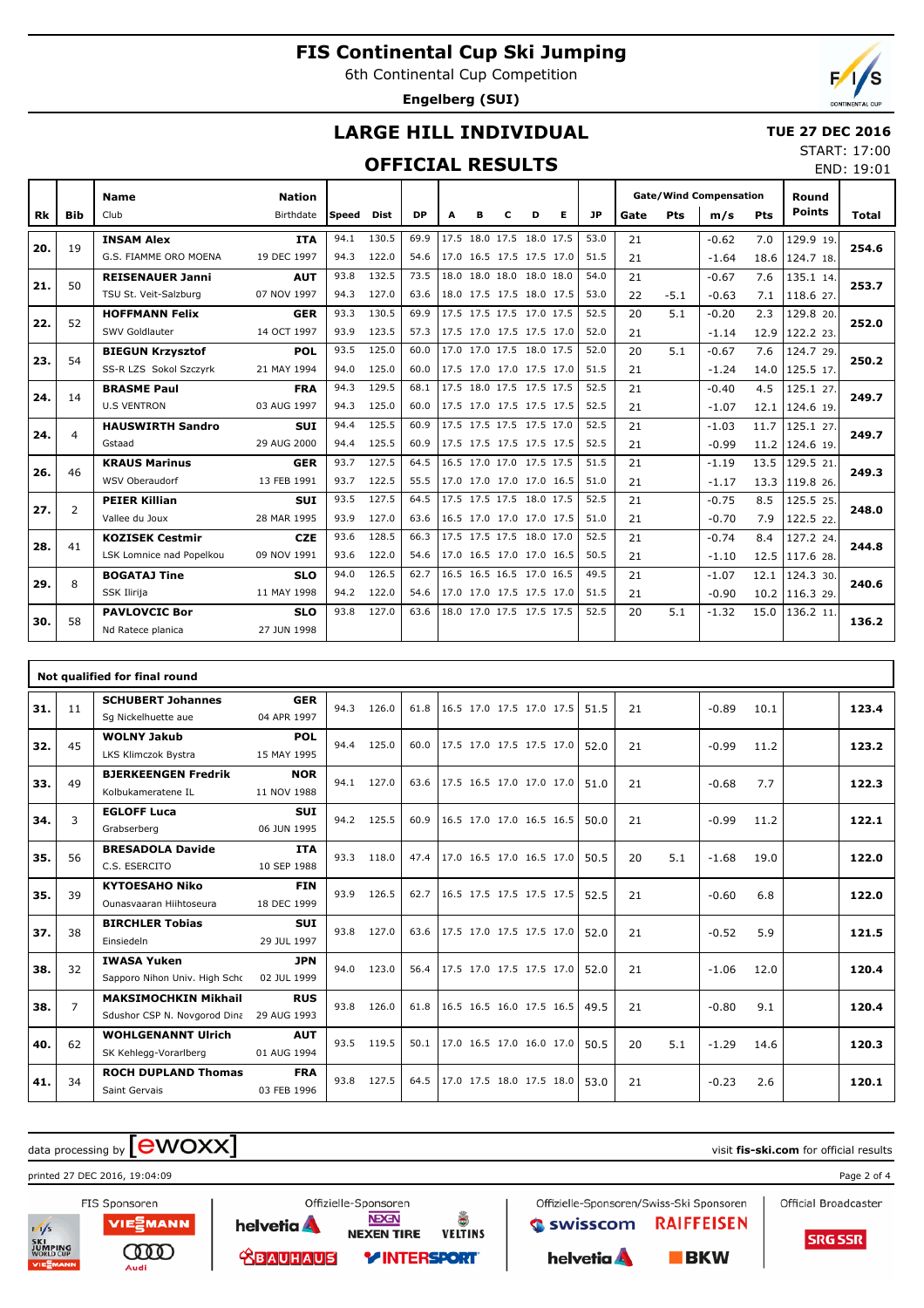6th Continental Cup Competition

**Engelberg (SUI)**

END: 19:01

## **LARGE HILL INDIVIDUAL**

### **TUE 27 DEC 2016** START: 17:00

## **OFFICIAL RESULTS**

|     |                | <b>Name</b>              | <b>Nation</b> |              |       |           |   |                          |   |   |   |      | <b>Gate/Wind Compensation</b> |            |         |      | Round            |       |
|-----|----------------|--------------------------|---------------|--------------|-------|-----------|---|--------------------------|---|---|---|------|-------------------------------|------------|---------|------|------------------|-------|
| Rk  | <b>Bib</b>     | Club                     | Birthdate     | <b>Speed</b> | Dist  | <b>DP</b> | A | в                        | c | D | Е | JP   | Gate                          | <b>Pts</b> | m/s     | Pts  | <b>Points</b>    | Total |
|     |                | <b>INSAM Alex</b>        | <b>ITA</b>    | 94.1         | 130.5 | 69.9      |   | 17.5 18.0 17.5 18.0 17.5 |   |   |   | 53.0 | 21                            |            | $-0.62$ | 7.0  | 129.9 19.        |       |
| 20. | 19             | G.S. FIAMME ORO MOENA    | 19 DEC 1997   | 94.3         | 122.0 | 54.6      |   | 17.0 16.5 17.5 17.5 17.0 |   |   |   | 51.5 | 21                            |            | $-1.64$ | 18.6 | $124.7$ 18.      | 254.6 |
| 21. | 50             | <b>REISENAUER Janni</b>  | <b>AUT</b>    | 93.8         | 132.5 | 73.5      |   | 18.0 18.0 18.0 18.0 18.0 |   |   |   | 54.0 | 21                            |            | $-0.67$ | 7.6  | 135.1 14.        | 253.7 |
|     |                | TSU St. Veit-Salzburg    | 07 NOV 1997   | 94.3         | 127.0 | 63.6      |   | 18.0 17.5 17.5 18.0 17.5 |   |   |   | 53.0 | 22                            | $-5.1$     | $-0.63$ | 7.1  | 118.6 27.        |       |
| 22. | 52             | <b>HOFFMANN Felix</b>    | <b>GER</b>    | 93.3         | 130.5 | 69.9      |   | 17.5 17.5 17.5 17.0 17.5 |   |   |   | 52.5 | 20                            | 5.1        | $-0.20$ | 2.3  | 129.8 20.        | 252.0 |
|     |                | SWV Goldlauter           | 14 OCT 1997   | 93.9         | 123.5 | 57.3      |   | 17.5 17.0 17.5 17.5 17.0 |   |   |   | 52.0 | 21                            |            | $-1.14$ | 12.9 | 122.2 23.        |       |
| 23. | 54             | <b>BIEGUN Krzysztof</b>  | <b>POL</b>    | 93.5         | 125.0 | 60.0      |   | 17.0 17.0 17.5 18.0 17.5 |   |   |   | 52.0 | 20                            | 5.1        | $-0.67$ | 7.6  | 124.7 29.        | 250.2 |
|     |                | SS-R LZS Sokol Szczyrk   | 21 MAY 1994   | 94.0         | 125.0 | 60.0      |   | 17.5 17.0 17.0 17.5 17.0 |   |   |   | 51.5 | 21                            |            | $-1.24$ | 14.0 | $125.5$ 17.      |       |
| 24. | 14             | <b>BRASME Paul</b>       | <b>FRA</b>    | 94.3         | 129.5 | 68.1      |   | 17.5 18.0 17.5 17.5 17.5 |   |   |   | 52.5 | 21                            |            | $-0.40$ | 4.5  | 125.1 27.        | 249.7 |
|     |                | <b>U.S VENTRON</b>       | 03 AUG 1997   | 94.3         | 125.0 | 60.0      |   | 17.5 17.0 17.5 17.5 17.5 |   |   |   | 52.5 | 21                            |            | $-1.07$ |      | 12.1   124.6 19. |       |
| 24. | $\overline{4}$ | <b>HAUSWIRTH Sandro</b>  | <b>SUI</b>    | 94.4         | 125.5 | 60.9      |   | 17.5 17.5 17.5 17.5 17.0 |   |   |   | 52.5 | 21                            |            | $-1.03$ | 11.7 | 125.1 27.        | 249.7 |
|     |                | Gstaad                   | 29 AUG 2000   | 94.4         | 125.5 | 60.9      |   | 17.5 17.5 17.5 17.5 17.5 |   |   |   | 52.5 | 21                            |            | $-0.99$ |      | 11.2 124.6 19.   |       |
| 26. | 46             | <b>KRAUS Marinus</b>     | <b>GER</b>    | 93.7         | 127.5 | 64.5      |   | 16.5 17.0 17.0 17.5 17.5 |   |   |   | 51.5 | 21                            |            | $-1.19$ | 13.5 | 129.521          | 249.3 |
|     |                | WSV Oberaudorf           | 13 FEB 1991   | 93.7         | 122.5 | 55.5      |   | 17.0 17.0 17.0 17.0 16.5 |   |   |   | 51.0 | 21                            |            | $-1.17$ |      | 13.3 119.8 26.   |       |
| 27. | 2              | <b>PEIER Killian</b>     | <b>SUI</b>    | 93.5         | 127.5 | 64.5      |   | 17.5 17.5 17.5 18.0 17.5 |   |   |   | 52.5 | 21                            |            | $-0.75$ | 8.5  | 125.5 25.        | 248.0 |
|     |                | Vallee du Joux           | 28 MAR 1995   | 93.9         | 127.0 | 63.6      |   | 16.5 17.0 17.0 17.0 17.5 |   |   |   | 51.0 | 21                            |            | $-0.70$ | 7.9  | 122.5 22.        |       |
| 28. | 41             | <b>KOZISEK Cestmir</b>   | <b>CZE</b>    | 93.6         | 128.5 | 66.3      |   | 17.5 17.5 17.5 18.0 17.0 |   |   |   | 52.5 | 21                            |            | $-0.74$ | 8.4  | 127.2 24.        | 244.8 |
|     |                | LSK Lomnice nad Popelkou | 09 NOV 1991   | 93.6         | 122.0 | 54.6      |   | 17.0 16.5 17.0 17.0 16.5 |   |   |   | 50.5 | 21                            |            | $-1.10$ |      | 12.5 117.6 28.   |       |
| 29. | 8              | <b>BOGATAJ Tine</b>      | <b>SLO</b>    | 94.0         | 126.5 | 62.7      |   | 16.5 16.5 16.5 17.0 16.5 |   |   |   | 49.5 | 21                            |            | $-1.07$ | 12.1 | 124.3 30.        | 240.6 |
|     |                | SSK Ilirija              | 11 MAY 1998   | 94.2         | 122.0 | 54.6      |   | 17.0 17.0 17.5 17.5 17.0 |   |   |   | 51.5 | 21                            |            | $-0.90$ |      | 10.2 116.3 29.   |       |
| 30. | 58             | <b>PAVLOVCIC Bor</b>     | <b>SLO</b>    | 93.8         | 127.0 | 63.6      |   | 18.0 17.0 17.5 17.5 17.5 |   |   |   | 52.5 | 20                            | 5.1        | $-1.32$ | 15.0 | 136.2 11         | 136.2 |
|     |                | Nd Ratece planica        | 27 JUN 1998   |              |       |           |   |                          |   |   |   |      |                               |            |         |      |                  |       |

|     |                | Not qualified for final round                               |                           |      |       |      |                          |  |      |    |     |         |      |       |
|-----|----------------|-------------------------------------------------------------|---------------------------|------|-------|------|--------------------------|--|------|----|-----|---------|------|-------|
| 31. | 11             | <b>SCHUBERT Johannes</b><br>Sq Nickelhuette aue             | <b>GER</b><br>04 APR 1997 | 94.3 | 126.0 | 61.8 | 16.5 17.0 17.5 17.0 17.5 |  | 51.5 | 21 |     | $-0.89$ | 10.1 | 123.4 |
| 32. | 45             | <b>WOLNY Jakub</b><br>LKS Klimczok Bystra                   | <b>POL</b><br>15 MAY 1995 | 94.4 | 125.0 | 60.0 | 17.5 17.0 17.5 17.5 17.0 |  | 52.0 | 21 |     | $-0.99$ | 11.2 | 123.2 |
| 33. | 49             | <b>BJERKEENGEN Fredrik</b><br>Kolbukameratene IL            | <b>NOR</b><br>11 NOV 1988 | 94.1 | 127.0 | 63.6 | 17.5 16.5 17.0 17.0 17.0 |  | 51.0 | 21 |     | $-0.68$ | 7.7  | 122.3 |
| 34. | 3              | <b>EGLOFF Luca</b><br>Grabserberg                           | <b>SUI</b><br>06 JUN 1995 | 94.2 | 125.5 | 60.9 | 16.5 17.0 17.0 16.5 16.5 |  | 50.0 | 21 |     | $-0.99$ | 11.2 | 122.1 |
| 35. | 56             | <b>BRESADOLA Davide</b><br>C.S. ESERCITO                    | <b>ITA</b><br>10 SEP 1988 | 93.3 | 118.0 | 47.4 | 17.0 16.5 17.0 16.5 17.0 |  | 50.5 | 20 | 5.1 | $-1.68$ | 19.0 | 122.0 |
| 35. | 39             | <b>KYTOESAHO Niko</b><br>Ounasyaaran Hiihtoseura            | <b>FIN</b><br>18 DEC 1999 | 93.9 | 126.5 | 62.7 | 16.5 17.5 17.5 17.5 17.5 |  | 52.5 | 21 |     | $-0.60$ | 6.8  | 122.0 |
| 37. | 38             | <b>BIRCHLER Tobias</b><br>Einsiedeln                        | <b>SUI</b><br>29 JUL 1997 | 93.8 | 127.0 | 63.6 | 17.5 17.0 17.5 17.5 17.0 |  | 52.0 | 21 |     | $-0.52$ | 5.9  | 121.5 |
| 38. | 32             | <b>IWASA Yuken</b><br>Sapporo Nihon Univ. High Schc         | <b>JPN</b><br>02 JUL 1999 | 94.0 | 123.0 | 56.4 | 17.5 17.0 17.5 17.5 17.0 |  | 52.0 | 21 |     | $-1.06$ | 12.0 | 120.4 |
| 38. | $\overline{7}$ | <b>MAKSIMOCHKIN Mikhail</b><br>Sdushor CSP N. Novgorod Dina | <b>RUS</b><br>29 AUG 1993 | 93.8 | 126.0 | 61.8 | 16.5 16.5 16.0 17.5 16.5 |  | 49.5 | 21 |     | $-0.80$ | 9.1  | 120.4 |
| 40. | 62             | <b>WOHLGENANNT Ulrich</b><br>SK Kehlegg-Vorarlberg          | <b>AUT</b><br>01 AUG 1994 | 93.5 | 119.5 | 50.1 | 17.0 16.5 17.0 16.0 17.0 |  | 50.5 | 20 | 5.1 | $-1.29$ | 14.6 | 120.3 |
| 41. | 34             | <b>ROCH DUPLAND Thomas</b><br>Saint Gervais                 | <b>FRA</b><br>03 FEB 1996 | 93.8 | 127.5 | 64.5 | 17.0 17.5 18.0 17.5 18.0 |  | 53.0 | 21 |     | $-0.23$ | 2.6  | 120.1 |

å

**VELTINS** 

# $\alpha$  data processing by  $\boxed{\text{ewOX}}$

ത്ത

Audi

printed 27 DEC 2016, 19:04:09 Page 2 of 4



**NEXEN** helvetia **A NEXEN TIRE TEAUHAUS** *VINTERSPORT* 

Offizielle-Sponsoren

Offizielle-Sponsoren/Swiss-Ski Sponsoren Swisscom **RAIFFEISEN** 

helvetia A

 $BKN$ 

Official Broadcaster

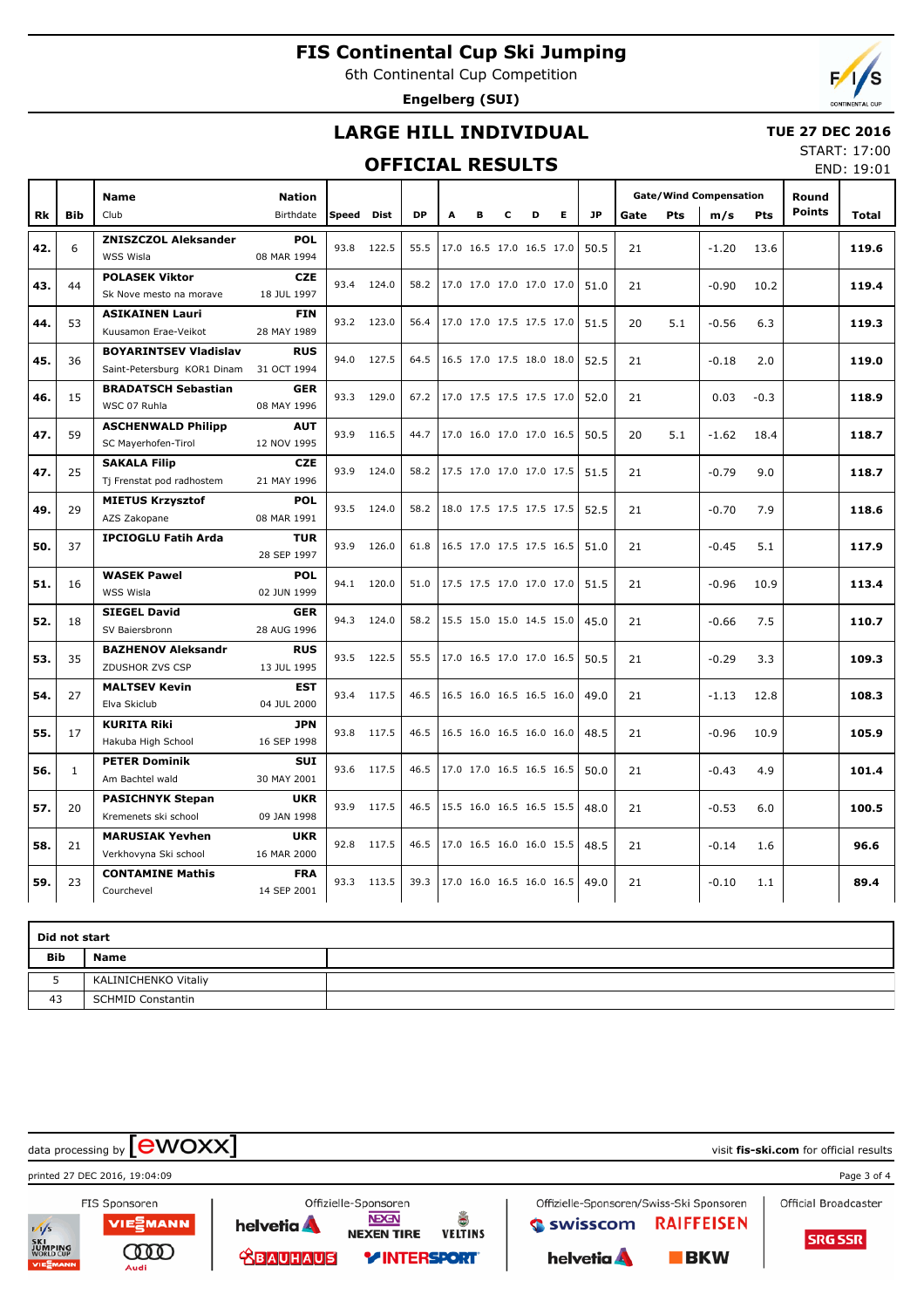6th Continental Cup Competition

**Engelberg (SUI)**



## **LARGE HILL INDIVIDUAL**

### **TUE 27 DEC 2016**

## **OFFICIAL RESULTS**

START: 17:00 END: 19:01

|           |              | <b>Name</b>                                                 | <b>Nation</b>             |            |            |           |   |   |   |                          |    |           | <b>Gate/Wind Compensation</b> |            |         |            | Round         |       |
|-----------|--------------|-------------------------------------------------------------|---------------------------|------------|------------|-----------|---|---|---|--------------------------|----|-----------|-------------------------------|------------|---------|------------|---------------|-------|
| <b>Rk</b> | <b>Bib</b>   | Club                                                        | Birthdate                 | Speed Dist |            | <b>DP</b> | A | в | c | D                        | E. | <b>JP</b> | Gate                          | <b>Pts</b> | m/s     | <b>Pts</b> | <b>Points</b> | Total |
| 42.       | 6            | <b>ZNISZCZOL Aleksander</b><br>WSS Wisla                    | <b>POL</b><br>08 MAR 1994 | 93.8       | 122.5      | 55.5      |   |   |   | 17.0 16.5 17.0 16.5 17.0 |    | 50.5      | 21                            |            | $-1.20$ | 13.6       |               | 119.6 |
| 43.       | 44           | <b>POLASEK Viktor</b><br>Sk Nove mesto na morave            | <b>CZE</b><br>18 JUL 1997 |            | 93.4 124.0 | 58.2      |   |   |   | 17.0 17.0 17.0 17.0 17.0 |    | 51.0      | 21                            |            | $-0.90$ | 10.2       |               | 119.4 |
| 44.       | 53           | <b>ASIKAINEN Lauri</b><br>Kuusamon Erae-Veikot              | <b>FIN</b><br>28 MAY 1989 |            | 93.2 123.0 | 56.4      |   |   |   | 17.0 17.0 17.5 17.5 17.0 |    | 51.5      | 20                            | 5.1        | $-0.56$ | 6.3        |               | 119.3 |
| 45.       | 36           | <b>BOYARINTSEV Vladislav</b><br>Saint-Petersburg KOR1 Dinam | <b>RUS</b><br>31 OCT 1994 | 94.0       | 127.5      | 64.5      |   |   |   | 16.5 17.0 17.5 18.0 18.0 |    | 52.5      | 21                            |            | $-0.18$ | 2.0        |               | 119.0 |
| 46.       | 15           | <b>BRADATSCH Sebastian</b><br>WSC 07 Ruhla                  | <b>GER</b><br>08 MAY 1996 | 93.3       | 129.0      | 67.2      |   |   |   | 17.0 17.5 17.5 17.5 17.0 |    | 52.0      | 21                            |            | 0.03    | $-0.3$     |               | 118.9 |
| 47.       | 59           | <b>ASCHENWALD Philipp</b><br>SC Mayerhofen-Tirol            | <b>AUT</b><br>12 NOV 1995 | 93.9       | 116.5      | 44.7      |   |   |   | 17.0 16.0 17.0 17.0 16.5 |    | 50.5      | 20                            | 5.1        | $-1.62$ | 18.4       |               | 118.7 |
| 47.       | 25           | <b>SAKALA Filip</b><br>Tj Frenstat pod radhostem            | <b>CZE</b><br>21 MAY 1996 | 93.9       | 124.0      | 58.2      |   |   |   | 17.5 17.0 17.0 17.0 17.5 |    | 51.5      | 21                            |            | $-0.79$ | 9.0        |               | 118.7 |
| 49.       | 29           | <b>MIETUS Krzysztof</b><br>AZS Zakopane                     | <b>POL</b><br>08 MAR 1991 | 93.5       | 124.0      | 58.2      |   |   |   | 18.0 17.5 17.5 17.5 17.5 |    | 52.5      | 21                            |            | $-0.70$ | 7.9        |               | 118.6 |
| 50.       | 37           | <b>IPCIOGLU Fatih Arda</b>                                  | <b>TUR</b><br>28 SEP 1997 | 93.9       | 126.0      | 61.8      |   |   |   | 16.5 17.0 17.5 17.5 16.5 |    | 51.0      | 21                            |            | $-0.45$ | 5.1        |               | 117.9 |
| 51.       | 16           | <b>WASEK Pawel</b><br>WSS Wisla                             | <b>POL</b><br>02 JUN 1999 | 94.1       | 120.0      | 51.0      |   |   |   | 17.5 17.5 17.0 17.0 17.0 |    | 51.5      | 21                            |            | $-0.96$ | 10.9       |               | 113.4 |
| 52.       | 18           | <b>SIEGEL David</b><br>SV Baiersbronn                       | <b>GER</b><br>28 AUG 1996 |            | 94.3 124.0 | 58.2      |   |   |   | 15.5 15.0 15.0 14.5 15.0 |    | 45.0      | 21                            |            | $-0.66$ | 7.5        |               | 110.7 |
| 53.       | 35           | <b>BAZHENOV Aleksandr</b><br>ZDUSHOR ZVS CSP                | <b>RUS</b><br>13 JUL 1995 | 93.5       | 122.5      | 55.5      |   |   |   | 17.0 16.5 17.0 17.0 16.5 |    | 50.5      | 21                            |            | $-0.29$ | 3.3        |               | 109.3 |
| 54.       | 27           | <b>MALTSEV Kevin</b><br>Elva Skiclub                        | <b>EST</b><br>04 JUL 2000 | 93.4       | 117.5      | 46.5      |   |   |   | 16.5 16.0 16.5 16.5 16.0 |    | 49.0      | 21                            |            | $-1.13$ | 12.8       |               | 108.3 |
| 55.       | 17           | <b>KURITA Riki</b><br>Hakuba High School                    | <b>JPN</b><br>16 SEP 1998 |            | 93.8 117.5 | 46.5      |   |   |   | 16.5 16.0 16.5 16.0 16.0 |    | 48.5      | 21                            |            | $-0.96$ | 10.9       |               | 105.9 |
| 56.       | $\mathbf{1}$ | <b>PETER Dominik</b><br>Am Bachtel wald                     | <b>SUI</b><br>30 MAY 2001 | 93.6       | 117.5      | 46.5      |   |   |   | 17.0 17.0 16.5 16.5 16.5 |    | 50.0      | 21                            |            | $-0.43$ | 4.9        |               | 101.4 |
| 57.       | 20           | <b>PASICHNYK Stepan</b><br>Kremenets ski school             | <b>UKR</b><br>09 JAN 1998 | 93.9       | 117.5      | 46.5      |   |   |   | 15.5 16.0 16.5 16.5 15.5 |    | 48.0      | 21                            |            | $-0.53$ | 6.0        |               | 100.5 |
| 58.       | 21           | <b>MARUSIAK Yevhen</b><br>Verkhovyna Ski school             | <b>UKR</b><br>16 MAR 2000 | 92.8       | 117.5      | 46.5      |   |   |   | 17.0 16.5 16.0 16.0 15.5 |    | 48.5      | 21                            |            | $-0.14$ | 1.6        |               | 96.6  |
| 59.       | 23           | <b>CONTAMINE Mathis</b><br>Courchevel                       | <b>FRA</b><br>14 SEP 2001 | 93.3       | 113.5      | 39.3      |   |   |   | 17.0 16.0 16.5 16.0 16.5 |    | 49.0      | 21                            |            | $-0.10$ | 1.1        |               | 89.4  |

|            | Did not start            |  |  |  |  |  |  |  |  |  |  |  |
|------------|--------------------------|--|--|--|--|--|--|--|--|--|--|--|
| <b>Bib</b> | <b>Name</b>              |  |  |  |  |  |  |  |  |  |  |  |
| -          | KALINICHENKO Vitaliy     |  |  |  |  |  |  |  |  |  |  |  |
| 43         | <b>SCHMID Constantin</b> |  |  |  |  |  |  |  |  |  |  |  |